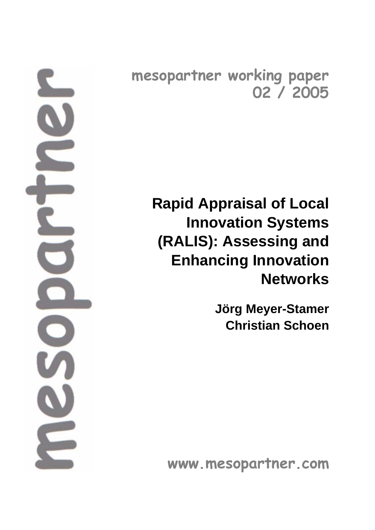**mesopartner working paper 02 / 2005**

> **Rapid Appraisal of Local Innovation Systems (RALIS): Assessing and Enhancing Innovation Networks**

> > **Jörg Meyer-Stamer Christian Schoen**

**www.mesopartner.com**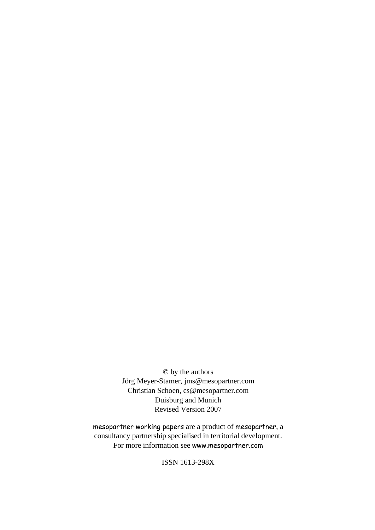© by the authors Jörg Meyer-Stamer, jms@mesopartner.com Christian Schoen, cs@mesopartner.com Duisburg and Munich Revised Version 2007

mesopartner working papers are a product of mesopartner, a consultancy partnership specialised in territorial development. For more information see www.mesopartner.com

ISSN 1613-298X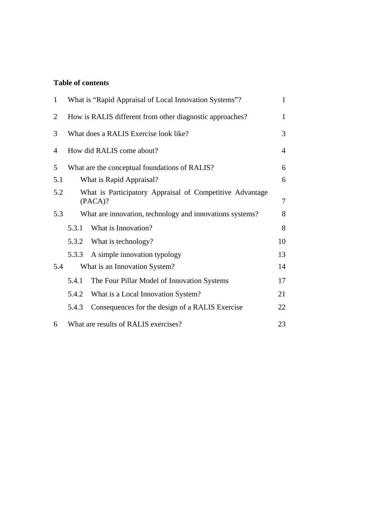## **Table of contents**

| $\mathbf{1}$   | What is "Rapid Appraisal of Local Innovation Systems"?              |                                                          | $\mathbf{1}$ |
|----------------|---------------------------------------------------------------------|----------------------------------------------------------|--------------|
| $\overline{2}$ | How is RALIS different from other diagnostic approaches?            |                                                          | 1            |
| 3              | What does a RALIS Exercise look like?                               |                                                          | 3            |
| $\overline{4}$ | How did RALIS come about?                                           |                                                          | 4            |
| 5              | What are the conceptual foundations of RALIS?                       |                                                          | 6            |
| 5.1            | What is Rapid Appraisal?                                            |                                                          | 6            |
| 5.2            | What is Participatory Appraisal of Competitive Advantage<br>(PACA)? |                                                          | 7            |
| 5.3            |                                                                     | What are innovation, technology and innovations systems? | 8            |
|                | 5.3.1                                                               | What is Innovation?                                      | 8            |
|                |                                                                     | 5.3.2 What is technology?                                | 10           |
|                | 5.3.3                                                               | A simple innovation typology                             | 13           |
| 5.4            | What is an Innovation System?                                       |                                                          | 14           |
|                | 5.4.1                                                               | The Four Pillar Model of Innovation Systems              | 17           |
|                | 5.4.2                                                               | What is a Local Innovation System?                       | 21           |
|                | 5.4.3                                                               | Consequences for the design of a RALIS Exercise          | 22           |
| 6              | What are results of RALIS exercises?<br>23                          |                                                          |              |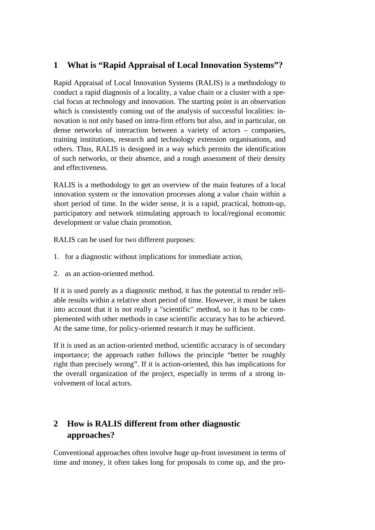## **1 What is "Rapid Appraisal of Local Innovation Systems"?**

Rapid Appraisal of Local Innovation Systems (RALIS) is a methodology to conduct a rapid diagnosis of a locality, a value chain or a cluster with a special focus at technology and innovation. The starting point is an observation which is consistently coming out of the analysis of successful localities: innovation is not only based on intra-firm efforts but also, and in particular, on dense networks of interaction between a variety of actors – companies, training institutions, research and technology extension organisations, and others. Thus, RALIS is designed in a way which permits the identification of such networks, or their absence, and a rough assessment of their density and effectiveness.

RALIS is a methodology to get an overview of the main features of a local innovation system or the innovation processes along a value chain within a short period of time. In the wider sense, it is a rapid, practical, bottom-up, participatory and network stimulating approach to local/regional economic development or value chain promotion.

RALIS can be used for two different purposes:

- 1. for a diagnostic without implications for immediate action,
- 2. as an action-oriented method.

If it is used purely as a diagnostic method, it has the potential to render reliable results within a relative short period of time. However, it must be taken into account that it is not really a "scientific" method, so it has to be complemented with other methods in case scientific accuracy has to be achieved. At the same time, for policy-oriented research it may be sufficient.

If it is used as an action-oriented method, scientific accuracy is of secondary importance; the approach rather follows the principle "better be roughly right than precisely wrong". If it is action-oriented, this has implications for the overall organization of the project, especially in terms of a strong involvement of local actors.

# **2 How is RALIS different from other diagnostic approaches?**

Conventional approaches often involve huge up-front investment in terms of time and money, it often takes long for proposals to come up, and the pro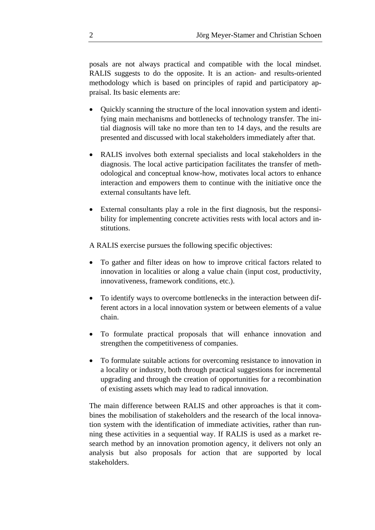posals are not always practical and compatible with the local mindset. RALIS suggests to do the opposite. It is an action- and results-oriented methodology which is based on principles of rapid and participatory appraisal. Its basic elements are:

- Quickly scanning the structure of the local innovation system and identifying main mechanisms and bottlenecks of technology transfer. The initial diagnosis will take no more than ten to 14 days, and the results are presented and discussed with local stakeholders immediately after that.
- RALIS involves both external specialists and local stakeholders in the diagnosis. The local active participation facilitates the transfer of methodological and conceptual know-how, motivates local actors to enhance interaction and empowers them to continue with the initiative once the external consultants have left.
- External consultants play a role in the first diagnosis, but the responsibility for implementing concrete activities rests with local actors and institutions.

A RALIS exercise pursues the following specific objectives:

- To gather and filter ideas on how to improve critical factors related to innovation in localities or along a value chain (input cost, productivity, innovativeness, framework conditions, etc.).
- To identify ways to overcome bottlenecks in the interaction between different actors in a local innovation system or between elements of a value chain.
- To formulate practical proposals that will enhance innovation and strengthen the competitiveness of companies.
- To formulate suitable actions for overcoming resistance to innovation in a locality or industry, both through practical suggestions for incremental upgrading and through the creation of opportunities for a recombination of existing assets which may lead to radical innovation.

The main difference between RALIS and other approaches is that it combines the mobilisation of stakeholders and the research of the local innovation system with the identification of immediate activities, rather than running these activities in a sequential way. If RALIS is used as a market research method by an innovation promotion agency, it delivers not only an analysis but also proposals for action that are supported by local stakeholders.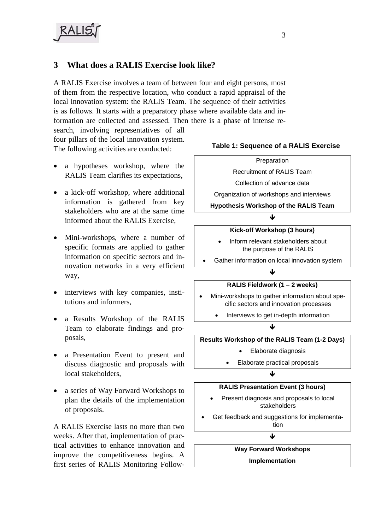## **3 What does a RALIS Exercise look like?**

A RALIS Exercise involves a team of between four and eight persons, most of them from the respective location, who conduct a rapid appraisal of the local innovation system: the RALIS Team. The sequence of their activities is as follows. It starts with a preparatory phase where available data and information are collected and assessed. Then there is a phase of intense re-

search, involving representatives of all four pillars of the local innovation system. The following activities are conducted:

- a hypotheses workshop, where the RALIS Team clarifies its expectations,
- a kick-off workshop, where additional information is gathered from key stakeholders who are at the same time informed about the RALIS Exercise,
- Mini-workshops, where a number of specific formats are applied to gather information on specific sectors and innovation networks in a very efficient way,
- interviews with key companies, institutions and informers,
- a Results Workshop of the RALIS Team to elaborate findings and proposals,
- a Presentation Event to present and discuss diagnostic and proposals with local stakeholders,
- a series of Way Forward Workshops to plan the details of the implementation of proposals.

A RALIS Exercise lasts no more than two weeks. After that, implementation of practical activities to enhance innovation and improve the competitiveness begins. A first series of RALIS Monitoring Follow-

### **Table 1: Sequence of a RALIS Exercise**

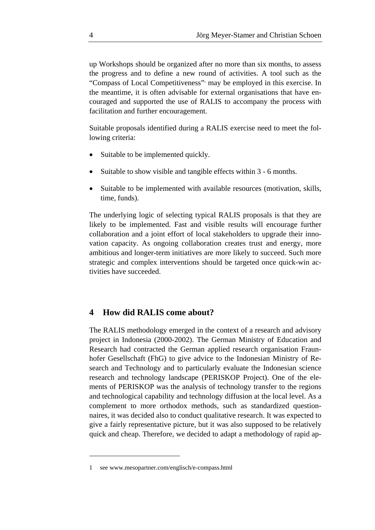up Workshops should be organized after no more than six months, to assess the progress and to define a new round of activities. A tool such as the "Compass of Local Competitiveness"<sup>1</sup> may be employed in this exercise. In the meantime, it is often advisable for external organisations that have encouraged and supported the use of RALIS to accompany the process with facilitation and further encouragement.

Suitable proposals identified during a RALIS exercise need to meet the following criteria:

- Suitable to be implemented quickly.
- Suitable to show visible and tangible effects within 3 6 months.
- Suitable to be implemented with available resources (motivation, skills, time, funds).

The underlying logic of selecting typical RALIS proposals is that they are likely to be implemented. Fast and visible results will encourage further collaboration and a joint effort of local stakeholders to upgrade their innovation capacity. As ongoing collaboration creates trust and energy, more ambitious and longer-term initiatives are more likely to succeed. Such more strategic and complex interventions should be targeted once quick-win activities have succeeded.

### **4 How did RALIS come about?**

The RALIS methodology emerged in the context of a research and advisory project in Indonesia (2000-2002). The German Ministry of Education and Research had contracted the German applied research organisation Fraunhofer Gesellschaft (FhG) to give advice to the Indonesian Ministry of Research and Technology and to particularly evaluate the Indonesian science research and technology landscape (PERISKOP Project). One of the elements of PERISKOP was the analysis of technology transfer to the regions and technological capability and technology diffusion at the local level. As a complement to more orthodox methods, such as standardized questionnaires, it was decided also to conduct qualitative research. It was expected to give a fairly representative picture, but it was also supposed to be relatively quick and cheap. Therefore, we decided to adapt a methodology of rapid ap-

1

<sup>1</sup> see www.mesopartner.com/englisch/e-compass.html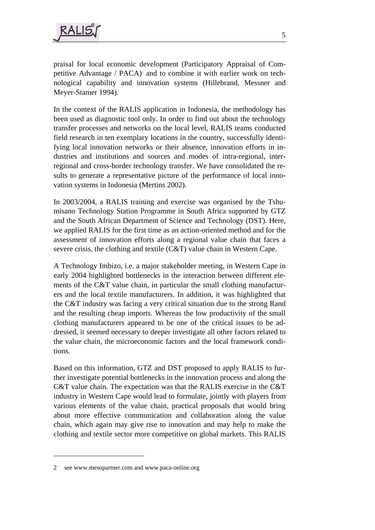

praisal for local economic development (Participatory Appraisal of Competitive Advantage / PACA)<sup>2</sup> and to combine it with earlier work on technological capability and innovation systems (Hillebrand, Messner and Meyer-Stamer 1994).

In the context of the RALIS application in Indonesia, the methodology has been used as diagnostic tool only. In order to find out about the technology transfer processes and networks on the local level, RALIS teams conducted field research in ten exemplary locations in the country, successfully identifying local innovation networks or their absence, innovation efforts in industries and institutions and sources and modes of intra-regional, interregional and cross-border technology transfer. We have consolidated the results to generate a representative picture of the performance of local innovation systems in Indonesia (Mertins 2002).

In 2003/2004, a RALIS training and exercise was organised by the Tshumisano Technology Station Programme in South Africa supported by GTZ and the South African Department of Science and Technology (DST). Here, we applied RALIS for the first time as an action-oriented method and for the assessment of innovation efforts along a regional value chain that faces a severe crisis, the clothing and textile (C&T) value chain in Western Cape.

A Technology Imbizo, i.e. a major stakeholder meeting, in Western Cape in early 2004 highlighted bottlenecks in the interaction between different elements of the C&T value chain, in particular the small clothing manufacturers and the local textile manufacturers. In addition, it was highlighted that the C&T industry was facing a very critical situation due to the strong Rand and the resulting cheap imports. Whereas the low productivity of the small clothing manufacturers appeared to be one of the critical issues to be addressed, it seemed necessary to deeper investigate all other factors related to the value chain, the microeconomic factors and the local framework conditions.

Based on this information, GTZ and DST proposed to apply RALIS to further investigate potential bottlenecks in the innovation process and along the C&T value chain. The expectation was that the RALIS exercise in the C&T industry in Western Cape would lead to formulate, jointly with players from various elements of the value chain, practical proposals that would bring about more effective communication and collaboration along the value chain, which again may give rise to innovation and may help to make the clothing and textile sector more competitive on global markets. This RALIS

1

<sup>2</sup> see www.mesopartner.com and www.paca-online.org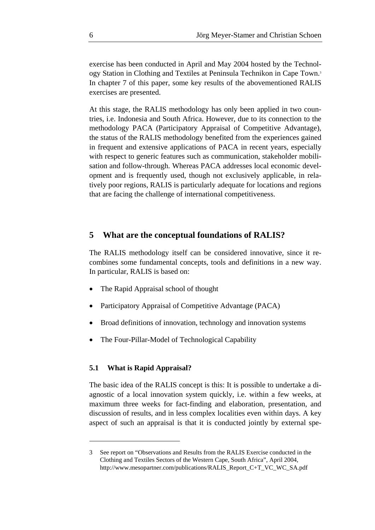exercise has been conducted in April and May 2004 hosted by the Technology Station in Clothing and Textiles at Peninsula Technikon in Cape Town.3 In chapter 7 of this paper, some key results of the abovementioned RALIS exercises are presented.

At this stage, the RALIS methodology has only been applied in two countries, i.e. Indonesia and South Africa. However, due to its connection to the methodology PACA (Participatory Appraisal of Competitive Advantage), the status of the RALIS methodology benefited from the experiences gained in frequent and extensive applications of PACA in recent years, especially with respect to generic features such as communication, stakeholder mobilisation and follow-through. Whereas PACA addresses local economic development and is frequently used, though not exclusively applicable, in relatively poor regions, RALIS is particularly adequate for locations and regions that are facing the challenge of international competitiveness.

### **5 What are the conceptual foundations of RALIS?**

The RALIS methodology itself can be considered innovative, since it recombines some fundamental concepts, tools and definitions in a new way. In particular, RALIS is based on:

- The Rapid Appraisal school of thought
- Participatory Appraisal of Competitive Advantage (PACA)
- Broad definitions of innovation, technology and innovation systems
- The Four-Pillar-Model of Technological Capability

#### **5.1 What is Rapid Appraisal?**

1

The basic idea of the RALIS concept is this: It is possible to undertake a diagnostic of a local innovation system quickly, i.e. within a few weeks, at maximum three weeks for fact-finding and elaboration, presentation, and discussion of results, and in less complex localities even within days. A key aspect of such an appraisal is that it is conducted jointly by external spe-

<sup>3</sup> See report on "Observations and Results from the RALIS Exercise conducted in the Clothing and Textiles Sectors of the Western Cape, South Africa", April 2004, http://www.mesopartner.com/publications/RALIS\_Report\_C+T\_VC\_WC\_SA.pdf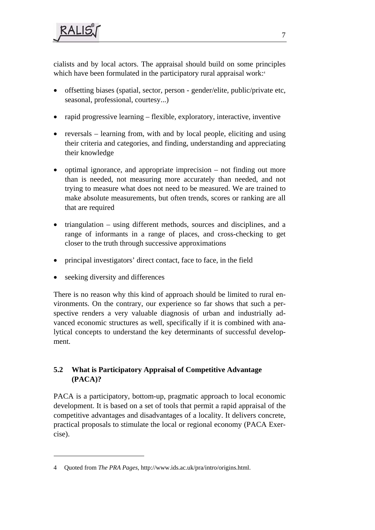cialists and by local actors. The appraisal should build on some principles which have been formulated in the participatory rural appraisal work:<sup>4</sup>

- offsetting biases (spatial, sector, person gender/elite, public/private etc, seasonal, professional, courtesy...)
- rapid progressive learning flexible, exploratory, interactive, inventive
- reversals learning from, with and by local people, eliciting and using their criteria and categories, and finding, understanding and appreciating their knowledge
- optimal ignorance, and appropriate imprecision not finding out more than is needed, not measuring more accurately than needed, and not trying to measure what does not need to be measured. We are trained to make absolute measurements, but often trends, scores or ranking are all that are required
- triangulation using different methods, sources and disciplines, and a range of informants in a range of places, and cross-checking to get closer to the truth through successive approximations
- principal investigators' direct contact, face to face, in the field
- seeking diversity and differences

1

There is no reason why this kind of approach should be limited to rural environments. On the contrary, our experience so far shows that such a perspective renders a very valuable diagnosis of urban and industrially advanced economic structures as well, specifically if it is combined with analytical concepts to understand the key determinants of successful development.

## **5.2 What is Participatory Appraisal of Competitive Advantage (PACA)?**

PACA is a participatory, bottom-up, pragmatic approach to local economic development. It is based on a set of tools that permit a rapid appraisal of the competitive advantages and disadvantages of a locality. It delivers concrete, practical proposals to stimulate the local or regional economy (PACA Exercise).

<sup>4</sup> Quoted from *The PRA Pages*, http://www.ids.ac.uk/pra/intro/origins.html.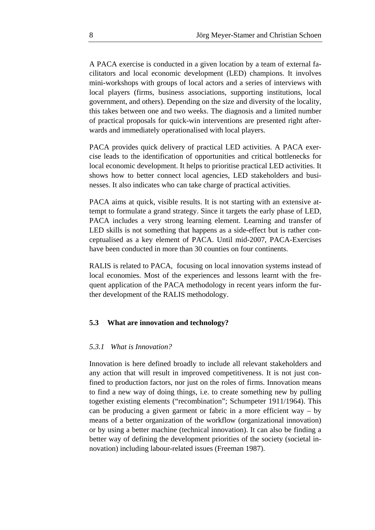A PACA exercise is conducted in a given location by a team of external facilitators and local economic development (LED) champions. It involves mini-workshops with groups of local actors and a series of interviews with local players (firms, business associations, supporting institutions, local government, and others). Depending on the size and diversity of the locality, this takes between one and two weeks. The diagnosis and a limited number of practical proposals for quick-win interventions are presented right afterwards and immediately operationalised with local players.

PACA provides quick delivery of practical LED activities. A PACA exercise leads to the identification of opportunities and critical bottlenecks for local economic development. It helps to prioritise practical LED activities. It shows how to better connect local agencies, LED stakeholders and businesses. It also indicates who can take charge of practical activities.

PACA aims at quick, visible results. It is not starting with an extensive attempt to formulate a grand strategy. Since it targets the early phase of LED, PACA includes a very strong learning element. Learning and transfer of LED skills is not something that happens as a side-effect but is rather conceptualised as a key element of PACA. Until mid-2007, PACA-Exercises have been conducted in more than 30 counties on four continents.

RALIS is related to PACA, focusing on local innovation systems instead of local economies. Most of the experiences and lessons learnt with the frequent application of the PACA methodology in recent years inform the further development of the RALIS methodology.

#### **5.3 What are innovation and technology?**

#### *5.3.1 What is Innovation?*

Innovation is here defined broadly to include all relevant stakeholders and any action that will result in improved competitiveness. It is not just confined to production factors, nor just on the roles of firms. Innovation means to find a new way of doing things, i.e. to create something new by pulling together existing elements ("recombination"; Schumpeter 1911/1964). This can be producing a given garment or fabric in a more efficient way – by means of a better organization of the workflow (organizational innovation) or by using a better machine (technical innovation). It can also be finding a better way of defining the development priorities of the society (societal innovation) including labour-related issues (Freeman 1987).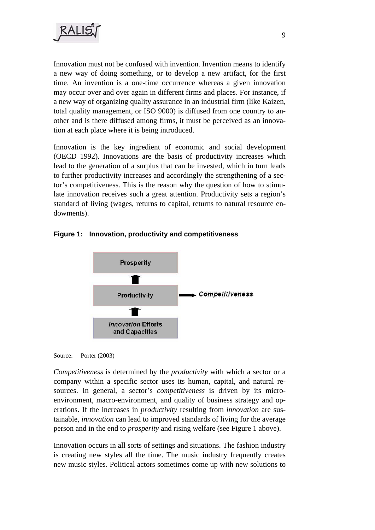

Innovation must not be confused with invention. Invention means to identify a new way of doing something, or to develop a new artifact, for the first time. An invention is a one-time occurrence whereas a given innovation may occur over and over again in different firms and places. For instance, if a new way of organizing quality assurance in an industrial firm (like Kaizen, total quality management, or ISO 9000) is diffused from one country to another and is there diffused among firms, it must be perceived as an innovation at each place where it is being introduced.

Innovation is the key ingredient of economic and social development (OECD 1992). Innovations are the basis of productivity increases which lead to the generation of a surplus that can be invested, which in turn leads to further productivity increases and accordingly the strengthening of a sector's competitiveness. This is the reason why the question of how to stimulate innovation receives such a great attention. Productivity sets a region's standard of living (wages, returns to capital, returns to natural resource endowments).





Source: Porter (2003)

*Competitiveness* is determined by the *productivity* with which a sector or a company within a specific sector uses its human, capital, and natural resources. In general, a sector's *competitiveness* is driven by its microenvironment, macro-environment, and quality of business strategy and operations. If the increases in *productivity* resulting from *innovation* are sustainable, *innovation* can lead to improved standards of living for the average person and in the end to *prosperity* and rising welfare (see Figure 1 above).

Innovation occurs in all sorts of settings and situations. The fashion industry is creating new styles all the time. The music industry frequently creates new music styles. Political actors sometimes come up with new solutions to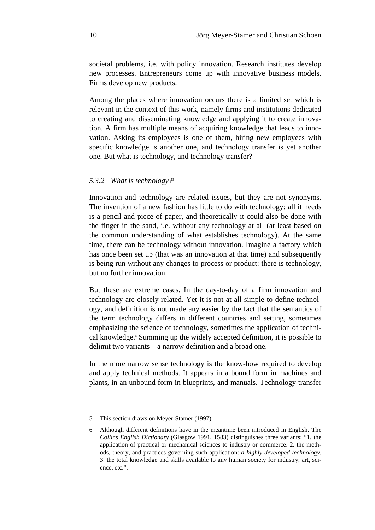societal problems, i.e. with policy innovation. Research institutes develop new processes. Entrepreneurs come up with innovative business models. Firms develop new products.

Among the places where innovation occurs there is a limited set which is relevant in the context of this work, namely firms and institutions dedicated to creating and disseminating knowledge and applying it to create innovation. A firm has multiple means of acquiring knowledge that leads to innovation. Asking its employees is one of them, hiring new employees with specific knowledge is another one, and technology transfer is yet another one. But what is technology, and technology transfer?

#### *5.3.2 What is technology?5*

Innovation and technology are related issues, but they are not synonyms. The invention of a new fashion has little to do with technology: all it needs is a pencil and piece of paper, and theoretically it could also be done with the finger in the sand, i.e. without any technology at all (at least based on the common understanding of what establishes technology). At the same time, there can be technology without innovation. Imagine a factory which has once been set up (that was an innovation at that time) and subsequently is being run without any changes to process or product: there is technology, but no further innovation.

But these are extreme cases. In the day-to-day of a firm innovation and technology are closely related. Yet it is not at all simple to define technology, and definition is not made any easier by the fact that the semantics of the term technology differs in different countries and setting, sometimes emphasizing the science of technology, sometimes the application of technical knowledge.<sup>6</sup> Summing up the widely accepted definition, it is possible to delimit two variants – a narrow definition and a broad one.

In the more narrow sense technology is the know-how required to develop and apply technical methods. It appears in a bound form in machines and plants, in an unbound form in blueprints, and manuals. Technology transfer

1

<sup>5</sup> This section draws on Meyer-Stamer (1997).

<sup>6</sup> Although different definitions have in the meantime been introduced in English. The *Collins English Dictionary* (Glasgow 1991, 1583) distinguishes three variants: "1. the application of practical or mechanical sciences to industry or commerce. 2. the methods, theory, and practices governing such application: *a highly developed technology*. 3. the total knowledge and skills available to any human society for industry, art, science, etc.".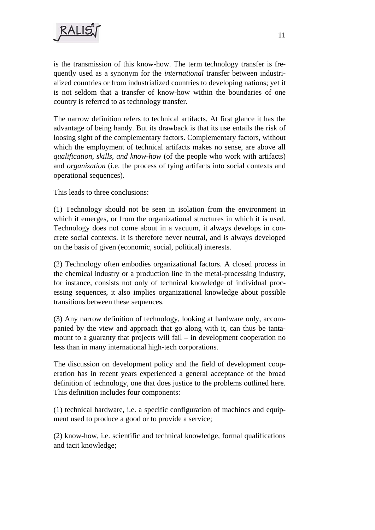is the transmission of this know-how. The term technology transfer is frequently used as a synonym for the *international* transfer between industrialized countries or from industrialized countries to developing nations; yet it is not seldom that a transfer of know-how within the boundaries of one country is referred to as technology transfer.

The narrow definition refers to technical artifacts. At first glance it has the advantage of being handy. But its drawback is that its use entails the risk of loosing sight of the complementary factors. Complementary factors, without which the employment of technical artifacts makes no sense, are above all *qualification, skills, and know-how* (of the people who work with artifacts) and *organization* (i.e. the process of tying artifacts into social contexts and operational sequences).

This leads to three conclusions:

(1) Technology should not be seen in isolation from the environment in which it emerges, or from the organizational structures in which it is used. Technology does not come about in a vacuum, it always develops in concrete social contexts. It is therefore never neutral, and is always developed on the basis of given (economic, social, political) interests.

(2) Technology often embodies organizational factors. A closed process in the chemical industry or a production line in the metal-processing industry, for instance, consists not only of technical knowledge of individual processing sequences, it also implies organizational knowledge about possible transitions between these sequences.

(3) Any narrow definition of technology, looking at hardware only, accompanied by the view and approach that go along with it, can thus be tantamount to a guaranty that projects will fail – in development cooperation no less than in many international high-tech corporations.

The discussion on development policy and the field of development cooperation has in recent years experienced a general acceptance of the broad definition of technology, one that does justice to the problems outlined here. This definition includes four components:

(1) technical hardware, i.e. a specific configuration of machines and equipment used to produce a good or to provide a service;

(2) know-how, i.e. scientific and technical knowledge, formal qualifications and tacit knowledge;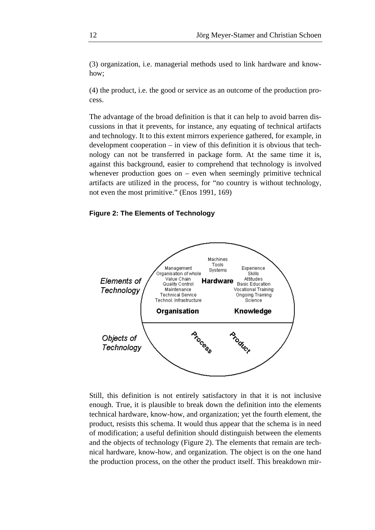(3) organization, i.e. managerial methods used to link hardware and knowhow;

(4) the product, i.e. the good or service as an outcome of the production process.

The advantage of the broad definition is that it can help to avoid barren discussions in that it prevents, for instance, any equating of technical artifacts and technology. It to this extent mirrors experience gathered, for example, in development cooperation – in view of this definition it is obvious that technology can not be transferred in package form. At the same time it is, against this background, easier to comprehend that technology is involved whenever production goes on – even when seemingly primitive technical artifacts are utilized in the process, for "no country is without technology, not even the most primitive." (Enos 1991, 169)

#### **Figure 2: The Elements of Technology**



Still, this definition is not entirely satisfactory in that it is not inclusive enough. True, it is plausible to break down the definition into the elements technical hardware, know-how, and organization; yet the fourth element, the product, resists this schema. It would thus appear that the schema is in need of modification; a useful definition should distinguish between the elements and the objects of technology (Figure 2). The elements that remain are technical hardware, know-how, and organization. The object is on the one hand the production process, on the other the product itself. This breakdown mir-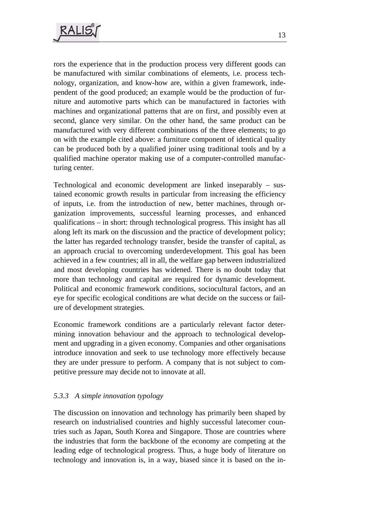

rors the experience that in the production process very different goods can be manufactured with similar combinations of elements, i.e. process technology, organization, and know-how are, within a given framework, independent of the good produced; an example would be the production of furniture and automotive parts which can be manufactured in factories with machines and organizational patterns that are on first, and possibly even at second, glance very similar. On the other hand, the same product can be manufactured with very different combinations of the three elements; to go on with the example cited above: a furniture component of identical quality can be produced both by a qualified joiner using traditional tools and by a qualified machine operator making use of a computer-controlled manufacturing center.

Technological and economic development are linked inseparably – sustained economic growth results in particular from increasing the efficiency of inputs, i.e. from the introduction of new, better machines, through organization improvements, successful learning processes, and enhanced qualifications – in short: through technological progress. This insight has all along left its mark on the discussion and the practice of development policy; the latter has regarded technology transfer, beside the transfer of capital, as an approach crucial to overcoming underdevelopment. This goal has been achieved in a few countries; all in all, the welfare gap between industrialized and most developing countries has widened. There is no doubt today that more than technology and capital are required for dynamic development. Political and economic framework conditions, sociocultural factors, and an eye for specific ecological conditions are what decide on the success or failure of development strategies.

Economic framework conditions are a particularly relevant factor determining innovation behaviour and the approach to technological development and upgrading in a given economy. Companies and other organisations introduce innovation and seek to use technology more effectively because they are under pressure to perform. A company that is not subject to competitive pressure may decide not to innovate at all.

### *5.3.3 A simple innovation typology*

The discussion on innovation and technology has primarily been shaped by research on industrialised countries and highly successful latecomer countries such as Japan, South Korea and Singapore. Those are countries where the industries that form the backbone of the economy are competing at the leading edge of technological progress. Thus, a huge body of literature on technology and innovation is, in a way, biased since it is based on the in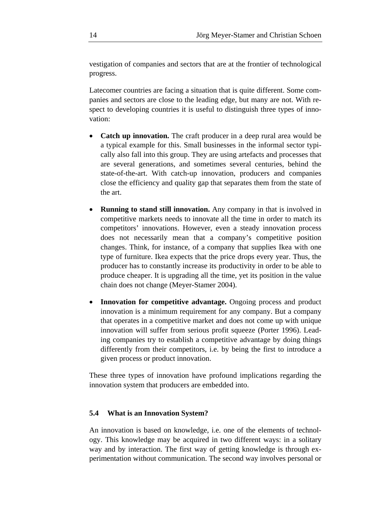vestigation of companies and sectors that are at the frontier of technological progress.

Latecomer countries are facing a situation that is quite different. Some companies and sectors are close to the leading edge, but many are not. With respect to developing countries it is useful to distinguish three types of innovation:

- **Catch up innovation.** The craft producer in a deep rural area would be a typical example for this. Small businesses in the informal sector typically also fall into this group. They are using artefacts and processes that are several generations, and sometimes several centuries, behind the state-of-the-art. With catch-up innovation, producers and companies close the efficiency and quality gap that separates them from the state of the art.
- **Running to stand still innovation.** Any company in that is involved in competitive markets needs to innovate all the time in order to match its competitors' innovations. However, even a steady innovation process does not necessarily mean that a company's competitive position changes. Think, for instance, of a company that supplies Ikea with one type of furniture. Ikea expects that the price drops every year. Thus, the producer has to constantly increase its productivity in order to be able to produce cheaper. It is upgrading all the time, yet its position in the value chain does not change (Meyer-Stamer 2004).
- **Innovation for competitive advantage.** Ongoing process and product innovation is a minimum requirement for any company. But a company that operates in a competitive market and does not come up with unique innovation will suffer from serious profit squeeze (Porter 1996). Leading companies try to establish a competitive advantage by doing things differently from their competitors, i.e. by being the first to introduce a given process or product innovation.

These three types of innovation have profound implications regarding the innovation system that producers are embedded into.

#### **5.4 What is an Innovation System?**

An innovation is based on knowledge, i.e. one of the elements of technology. This knowledge may be acquired in two different ways: in a solitary way and by interaction. The first way of getting knowledge is through experimentation without communication. The second way involves personal or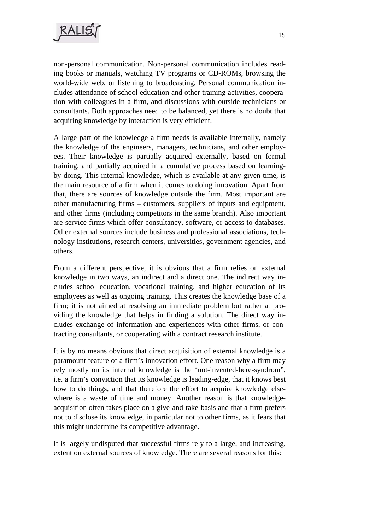non-personal communication. Non-personal communication includes reading books or manuals, watching TV programs or CD-ROMs, browsing the world-wide web, or listening to broadcasting. Personal communication includes attendance of school education and other training activities, cooperation with colleagues in a firm, and discussions with outside technicians or consultants. Both approaches need to be balanced, yet there is no doubt that acquiring knowledge by interaction is very efficient.

A large part of the knowledge a firm needs is available internally, namely the knowledge of the engineers, managers, technicians, and other employees. Their knowledge is partially acquired externally, based on formal training, and partially acquired in a cumulative process based on learningby-doing. This internal knowledge, which is available at any given time, is the main resource of a firm when it comes to doing innovation. Apart from that, there are sources of knowledge outside the firm. Most important are other manufacturing firms – customers, suppliers of inputs and equipment, and other firms (including competitors in the same branch). Also important are service firms which offer consultancy, software, or access to databases. Other external sources include business and professional associations, technology institutions, research centers, universities, government agencies, and others.

From a different perspective, it is obvious that a firm relies on external knowledge in two ways, an indirect and a direct one. The indirect way includes school education, vocational training, and higher education of its employees as well as ongoing training. This creates the knowledge base of a firm; it is not aimed at resolving an immediate problem but rather at providing the knowledge that helps in finding a solution. The direct way includes exchange of information and experiences with other firms, or contracting consultants, or cooperating with a contract research institute.

It is by no means obvious that direct acquisition of external knowledge is a paramount feature of a firm's innovation effort. One reason why a firm may rely mostly on its internal knowledge is the "not-invented-here-syndrom", i.e. a firm's conviction that its knowledge is leading-edge, that it knows best how to do things, and that therefore the effort to acquire knowledge elsewhere is a waste of time and money. Another reason is that knowledgeacquisition often takes place on a give-and-take-basis and that a firm prefers not to disclose its knowledge, in particular not to other firms, as it fears that this might undermine its competitive advantage.

It is largely undisputed that successful firms rely to a large, and increasing, extent on external sources of knowledge. There are several reasons for this: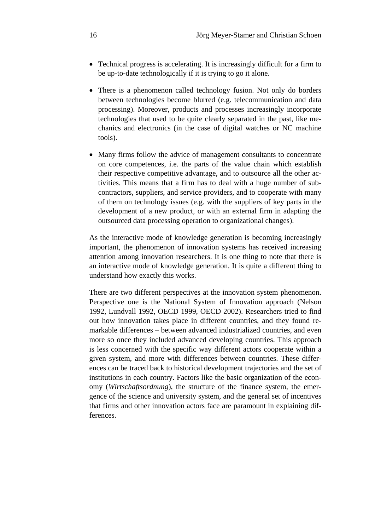- Technical progress is accelerating. It is increasingly difficult for a firm to be up-to-date technologically if it is trying to go it alone.
- There is a phenomenon called technology fusion. Not only do borders between technologies become blurred (e.g. telecommunication and data processing). Moreover, products and processes increasingly incorporate technologies that used to be quite clearly separated in the past, like mechanics and electronics (in the case of digital watches or NC machine tools).
- Many firms follow the advice of management consultants to concentrate on core competences, i.e. the parts of the value chain which establish their respective competitive advantage, and to outsource all the other activities. This means that a firm has to deal with a huge number of subcontractors, suppliers, and service providers, and to cooperate with many of them on technology issues (e.g. with the suppliers of key parts in the development of a new product, or with an external firm in adapting the outsourced data processing operation to organizational changes).

As the interactive mode of knowledge generation is becoming increasingly important, the phenomenon of innovation systems has received increasing attention among innovation researchers. It is one thing to note that there is an interactive mode of knowledge generation. It is quite a different thing to understand how exactly this works.

There are two different perspectives at the innovation system phenomenon. Perspective one is the National System of Innovation approach (Nelson 1992, Lundvall 1992, OECD 1999, OECD 2002). Researchers tried to find out how innovation takes place in different countries, and they found remarkable differences – between advanced industrialized countries, and even more so once they included advanced developing countries. This approach is less concerned with the specific way different actors cooperate within a given system, and more with differences between countries. These differences can be traced back to historical development trajectories and the set of institutions in each country. Factors like the basic organization of the economy (*Wirtschaftsordnung*), the structure of the finance system, the emergence of the science and university system, and the general set of incentives that firms and other innovation actors face are paramount in explaining differences.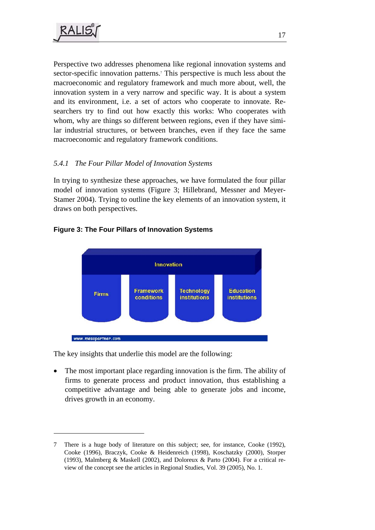1

Perspective two addresses phenomena like regional innovation systems and sector-specific innovation patterns.<sup>7</sup> This perspective is much less about the macroeconomic and regulatory framework and much more about, well, the innovation system in a very narrow and specific way. It is about a system and its environment, i.e. a set of actors who cooperate to innovate. Researchers try to find out how exactly this works: Who cooperates with whom, why are things so different between regions, even if they have similar industrial structures, or between branches, even if they face the same macroeconomic and regulatory framework conditions.

## *5.4.1 The Four Pillar Model of Innovation Systems*

In trying to synthesize these approaches, we have formulated the four pillar model of innovation systems (Figure 3; Hillebrand, Messner and Meyer-Stamer 2004). Trying to outline the key elements of an innovation system, it draws on both perspectives.

### **Figure 3: The Four Pillars of Innovation Systems**



The key insights that underlie this model are the following:

The most important place regarding innovation is the firm. The ability of firms to generate process and product innovation, thus establishing a competitive advantage and being able to generate jobs and income, drives growth in an economy.

<sup>7</sup> There is a huge body of literature on this subject; see, for instance, Cooke (1992), Cooke (1996), Braczyk, Cooke & Heidenreich (1998), Koschatzky (2000), Storper (1993), Malmberg & Maskell (2002), and Doloreux & Parto (2004). For a critical review of the concept see the articles in Regional Studies, Vol. 39 (2005), No. 1.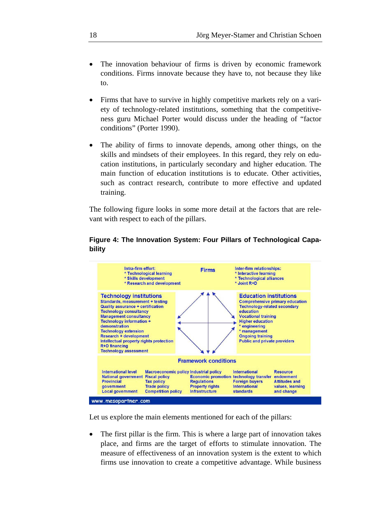- The innovation behaviour of firms is driven by economic framework conditions. Firms innovate because they have to, not because they like to.
- Firms that have to survive in highly competitive markets rely on a variety of technology-related institutions, something that the competitiveness guru Michael Porter would discuss under the heading of "factor conditions" (Porter 1990).
- The ability of firms to innovate depends, among other things, on the skills and mindsets of their employees. In this regard, they rely on education institutions, in particularly secondary and higher education. The main function of education institutions is to educate. Other activities, such as contract research, contribute to more effective and updated training.

The following figure looks in some more detail at the factors that are relevant with respect to each of the pillars.

### **Figure 4: The Innovation System: Four Pillars of Technological Capability**



Let us explore the main elements mentioned for each of the pillars:

The first pillar is the firm. This is where a large part of innovation takes place, and firms are the target of efforts to stimulate innovation. The measure of effectiveness of an innovation system is the extent to which firms use innovation to create a competitive advantage. While business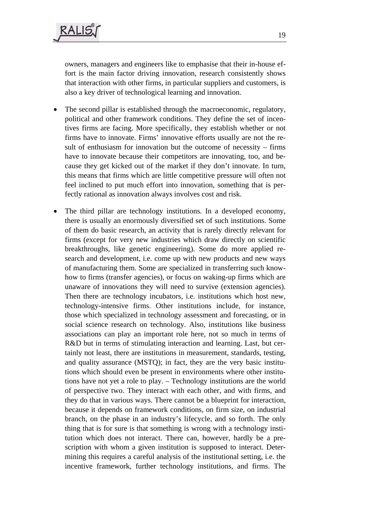owners, managers and engineers like to emphasise that their in-house effort is the main factor driving innovation, research consistently shows that interaction with other firms, in particular suppliers and customers, is also a key driver of technological learning and innovation.

- The second pillar is established through the macroeconomic, regulatory, political and other framework conditions. They define the set of incentives firms are facing. More specifically, they establish whether or not firms have to innovate. Firms' innovative efforts usually are not the result of enthusiasm for innovation but the outcome of necessity – firms have to innovate because their competitors are innovating, too, and because they get kicked out of the market if they don't innovate. In turn, this means that firms which are little competitive pressure will often not feel inclined to put much effort into innovation, something that is perfectly rational as innovation always involves cost and risk.
- The third pillar are technology institutions. In a developed economy, there is usually an enormously diversified set of such institutions. Some of them do basic research, an activity that is rarely directly relevant for firms (except for very new industries which draw directly on scientific breakthroughs, like genetic engineering). Some do more applied research and development, i.e. come up with new products and new ways of manufacturing them. Some are specialized in transferring such knowhow to firms (transfer agencies), or focus on waking-up firms which are unaware of innovations they will need to survive (extension agencies). Then there are technology incubators, i.e. institutions which host new, technology-intensive firms. Other institutions include, for instance, those which specialized in technology assessment and forecasting, or in social science research on technology. Also, institutions like business associations can play an important role here, not so much in terms of R&D but in terms of stimulating interaction and learning. Last, but certainly not least, there are institutions in measurement, standards, testing, and quality assurance (MSTQ); in fact, they are the very basic institutions which should even be present in environments where other institutions have not yet a role to play. – Technology institutions are the world of perspective two. They interact with each other, and with firms, and they do that in various ways. There cannot be a blueprint for interaction, because it depends on framework conditions, on firm size, on industrial branch, on the phase in an industry's lifecycle, and so forth. The only thing that is for sure is that something is wrong with a technology institution which does not interact. There can, however, hardly be a prescription with whom a given institution is supposed to interact. Determining this requires a careful analysis of the institutional setting, i.e. the incentive framework, further technology institutions, and firms. The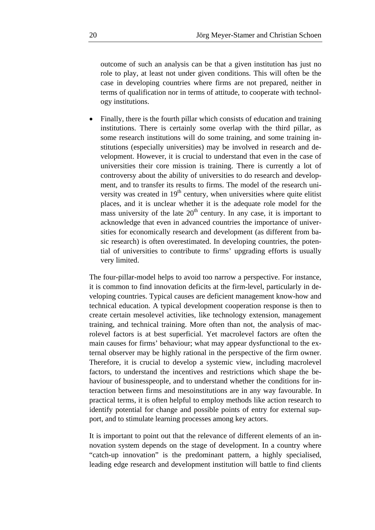outcome of such an analysis can be that a given institution has just no role to play, at least not under given conditions. This will often be the case in developing countries where firms are not prepared, neither in terms of qualification nor in terms of attitude, to cooperate with technology institutions.

• Finally, there is the fourth pillar which consists of education and training institutions. There is certainly some overlap with the third pillar, as some research institutions will do some training, and some training institutions (especially universities) may be involved in research and development. However, it is crucial to understand that even in the case of universities their core mission is training. There is currently a lot of controversy about the ability of universities to do research and development, and to transfer its results to firms. The model of the research university was created in  $19<sup>th</sup>$  century, when universities where quite elitist places, and it is unclear whether it is the adequate role model for the mass university of the late  $20<sup>th</sup>$  century. In any case, it is important to acknowledge that even in advanced countries the importance of universities for economically research and development (as different from basic research) is often overestimated. In developing countries, the potential of universities to contribute to firms' upgrading efforts is usually very limited.

The four-pillar-model helps to avoid too narrow a perspective. For instance, it is common to find innovation deficits at the firm-level, particularly in developing countries. Typical causes are deficient management know-how and technical education. A typical development cooperation response is then to create certain mesolevel activities, like technology extension, management training, and technical training. More often than not, the analysis of macrolevel factors is at best superficial. Yet macrolevel factors are often the main causes for firms' behaviour; what may appear dysfunctional to the external observer may be highly rational in the perspective of the firm owner. Therefore, it is crucial to develop a systemic view, including macrolevel factors, to understand the incentives and restrictions which shape the behaviour of businesspeople, and to understand whether the conditions for interaction between firms and mesoinstitutions are in any way favourable. In practical terms, it is often helpful to employ methods like action research to identify potential for change and possible points of entry for external support, and to stimulate learning processes among key actors.

It is important to point out that the relevance of different elements of an innovation system depends on the stage of development. In a country where "catch-up innovation" is the predominant pattern, a highly specialised, leading edge research and development institution will battle to find clients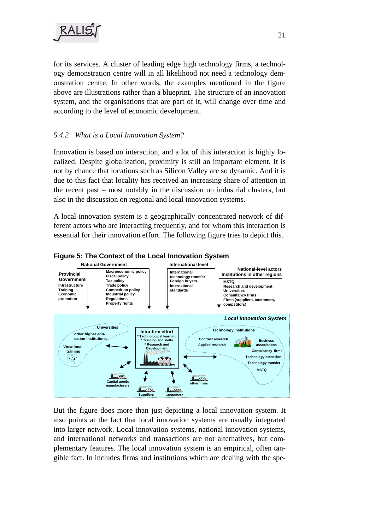for its services. A cluster of leading edge high technology firms, a technology demonstration centre will in all likelihood not need a technology demonstration centre. In other words, the examples mentioned in the figure above are illustrations rather than a blueprint. The structure of an innovation system, and the organisations that are part of it, will change over time and according to the level of economic development.

### *5.4.2 What is a Local Innovation System?*

Innovation is based on interaction, and a lot of this interaction is highly localized. Despite globalization, proximity is still an important element. It is not by chance that locations such as Silicon Valley are so dynamic. And it is due to this fact that locality has received an increasing share of attention in the recent past – most notably in the discussion on industrial clusters, but also in the discussion on regional and local innovation systems.

A local innovation system is a geographically concentrated network of different actors who are interacting frequently, and for whom this interaction is essential for their innovation effort. The following figure tries to depict this.





But the figure does more than just depicting a local innovation system. It also points at the fact that local innovation systems are usually integrated into larger network. Local innovation systems, national innovation systems, and international networks and transactions are not alternatives, but complementary features. The local innovation system is an empirical, often tangible fact. In includes firms and institutions which are dealing with the spe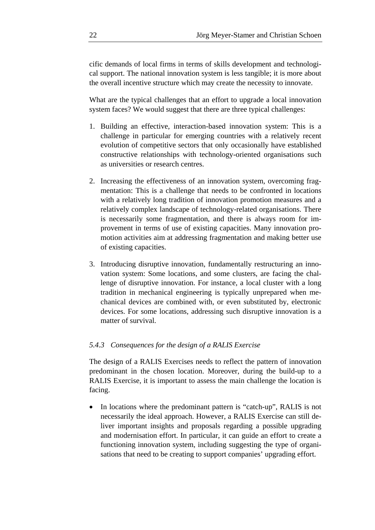cific demands of local firms in terms of skills development and technological support. The national innovation system is less tangible; it is more about the overall incentive structure which may create the necessity to innovate.

What are the typical challenges that an effort to upgrade a local innovation system faces? We would suggest that there are three typical challenges:

- 1. Building an effective, interaction-based innovation system: This is a challenge in particular for emerging countries with a relatively recent evolution of competitive sectors that only occasionally have established constructive relationships with technology-oriented organisations such as universities or research centres.
- 2. Increasing the effectiveness of an innovation system, overcoming fragmentation: This is a challenge that needs to be confronted in locations with a relatively long tradition of innovation promotion measures and a relatively complex landscape of technology-related organisations. There is necessarily some fragmentation, and there is always room for improvement in terms of use of existing capacities. Many innovation promotion activities aim at addressing fragmentation and making better use of existing capacities.
- 3. Introducing disruptive innovation, fundamentally restructuring an innovation system: Some locations, and some clusters, are facing the challenge of disruptive innovation. For instance, a local cluster with a long tradition in mechanical engineering is typically unprepared when mechanical devices are combined with, or even substituted by, electronic devices. For some locations, addressing such disruptive innovation is a matter of survival.

#### *5.4.3 Consequences for the design of a RALIS Exercise*

The design of a RALIS Exercises needs to reflect the pattern of innovation predominant in the chosen location. Moreover, during the build-up to a RALIS Exercise, it is important to assess the main challenge the location is facing.

• In locations where the predominant pattern is "catch-up", RALIS is not necessarily the ideal approach. However, a RALIS Exercise can still deliver important insights and proposals regarding a possible upgrading and modernisation effort. In particular, it can guide an effort to create a functioning innovation system, including suggesting the type of organisations that need to be creating to support companies' upgrading effort.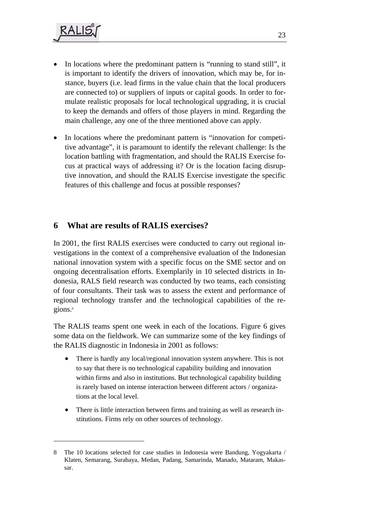1

- In locations where the predominant pattern is "running to stand still", it is important to identify the drivers of innovation, which may be, for instance, buyers (i.e. lead firms in the value chain that the local producers are connected to) or suppliers of inputs or capital goods. In order to formulate realistic proposals for local technological upgrading, it is crucial to keep the demands and offers of those players in mind. Regarding the main challenge, any one of the three mentioned above can apply.
- In locations where the predominant pattern is "innovation for competitive advantage", it is paramount to identify the relevant challenge: Is the location battling with fragmentation, and should the RALIS Exercise focus at practical ways of addressing it? Or is the location facing disruptive innovation, and should the RALIS Exercise investigate the specific features of this challenge and focus at possible responses?

## **6 What are results of RALIS exercises?**

In 2001, the first RALIS exercises were conducted to carry out regional investigations in the context of a comprehensive evaluation of the Indonesian national innovation system with a specific focus on the SME sector and on ongoing decentralisation efforts. Exemplarily in 10 selected districts in Indonesia, RALS field research was conducted by two teams, each consisting of four consultants. Their task was to assess the extent and performance of regional technology transfer and the technological capabilities of the regions.<sup>8</sup>

The RALIS teams spent one week in each of the locations. Figure 6 gives some data on the fieldwork. We can summarize some of the key findings of the RALIS diagnostic in Indonesia in 2001 as follows:

- There is hardly any local/regional innovation system anywhere. This is not to say that there is no technological capability building and innovation within firms and also in institutions. But technological capability building is rarely based on intense interaction between different actors / organizations at the local level.
- There is little interaction between firms and training as well as research institutions. Firms rely on other sources of technology.

<sup>8</sup> The 10 locations selected for case studies in Indonesia were Bandung, Yogyakarta / Klaten, Semarang, Surabaya, Medan, Padang, Samarinda, Manado, Mataram, Makassar.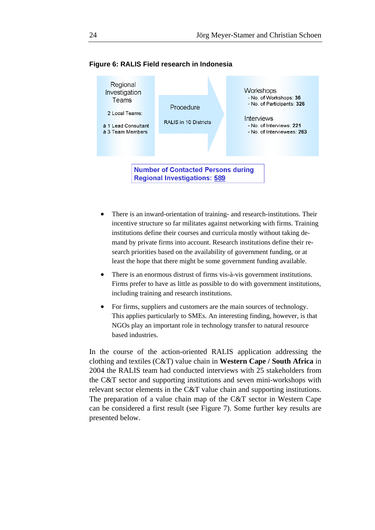

#### **Figure 6: RALIS Field research in Indonesia**

- There is an inward-orientation of training- and research-institutions. Their incentive structure so far militates against networking with firms. Training institutions define their courses and curricula mostly without taking demand by private firms into account. Research institutions define their research priorities based on the availability of government funding, or at least the hope that there might be some government funding available.
- There is an enormous distrust of firms vis-à-vis government institutions. Firms prefer to have as little as possible to do with government institutions, including training and research institutions.
- For firms, suppliers and customers are the main sources of technology. This applies particularly to SMEs. An interesting finding, however, is that NGOs play an important role in technology transfer to natural resource based industries.

In the course of the action-oriented RALIS application addressing the clothing and textiles (C&T) value chain in **Western Cape / South Africa** in 2004 the RALIS team had conducted interviews with 25 stakeholders from the C&T sector and supporting institutions and seven mini-workshops with relevant sector elements in the C&T value chain and supporting institutions. The preparation of a value chain map of the C&T sector in Western Cape can be considered a first result (see Figure 7). Some further key results are presented below.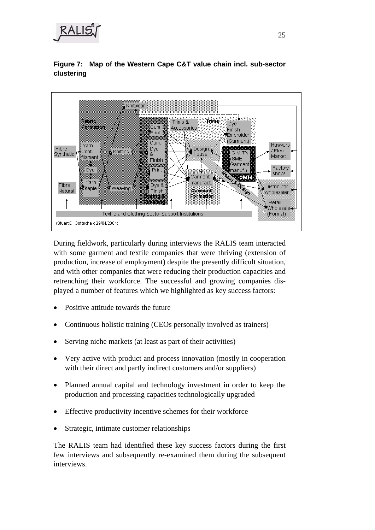

**Figure 7: Map of the Western Cape C&T value chain incl. sub-sector clustering**



During fieldwork, particularly during interviews the RALIS team interacted with some garment and textile companies that were thriving (extension of production, increase of employment) despite the presently difficult situation, and with other companies that were reducing their production capacities and retrenching their workforce. The successful and growing companies displayed a number of features which we highlighted as key success factors:

- Positive attitude towards the future
- Continuous holistic training (CEOs personally involved as trainers)
- Serving niche markets (at least as part of their activities)
- Very active with product and process innovation (mostly in cooperation with their direct and partly indirect customers and/or suppliers)
- Planned annual capital and technology investment in order to keep the production and processing capacities technologically upgraded
- Effective productivity incentive schemes for their workforce
- Strategic, intimate customer relationships

The RALIS team had identified these key success factors during the first few interviews and subsequently re-examined them during the subsequent interviews.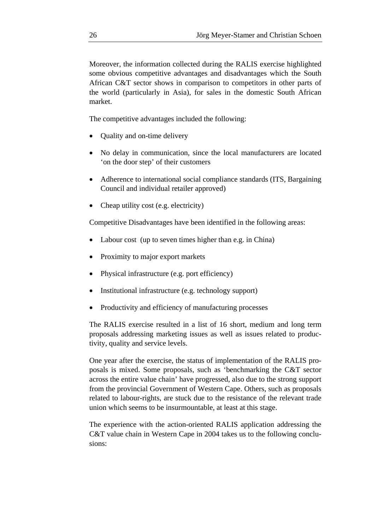Moreover, the information collected during the RALIS exercise highlighted some obvious competitive advantages and disadvantages which the South African C&T sector shows in comparison to competitors in other parts of the world (particularly in Asia), for sales in the domestic South African market.

The competitive advantages included the following:

- Quality and on-time delivery
- No delay in communication, since the local manufacturers are located 'on the door step' of their customers
- Adherence to international social compliance standards (ITS, Bargaining Council and individual retailer approved)
- Cheap utility cost (e.g. electricity)

Competitive Disadvantages have been identified in the following areas:

- Labour cost (up to seven times higher than e.g. in China)
- Proximity to major export markets
- Physical infrastructure (e.g. port efficiency)
- Institutional infrastructure (e.g. technology support)
- Productivity and efficiency of manufacturing processes

The RALIS exercise resulted in a list of 16 short, medium and long term proposals addressing marketing issues as well as issues related to productivity, quality and service levels.

One year after the exercise, the status of implementation of the RALIS proposals is mixed. Some proposals, such as 'benchmarking the C&T sector across the entire value chain' have progressed, also due to the strong support from the provincial Government of Western Cape. Others, such as proposals related to labour-rights, are stuck due to the resistance of the relevant trade union which seems to be insurmountable, at least at this stage.

The experience with the action-oriented RALIS application addressing the C&T value chain in Western Cape in 2004 takes us to the following conclusions: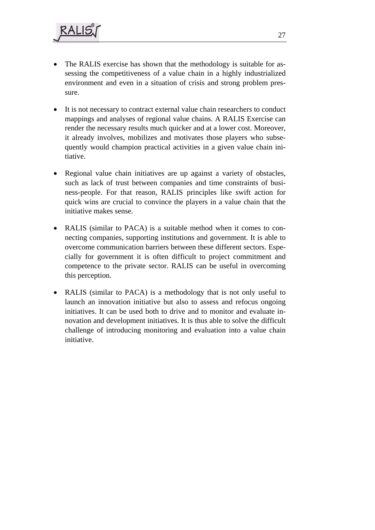- The RALIS exercise has shown that the methodology is suitable for assessing the competitiveness of a value chain in a highly industrialized environment and even in a situation of crisis and strong problem pressure.
- It is not necessary to contract external value chain researchers to conduct mappings and analyses of regional value chains. A RALIS Exercise can render the necessary results much quicker and at a lower cost. Moreover, it already involves, mobilizes and motivates those players who subsequently would champion practical activities in a given value chain initiative.
- Regional value chain initiatives are up against a variety of obstacles, such as lack of trust between companies and time constraints of business-people. For that reason, RALIS principles like swift action for quick wins are crucial to convince the players in a value chain that the initiative makes sense.
- RALIS (similar to PACA) is a suitable method when it comes to connecting companies, supporting institutions and government. It is able to overcome communication barriers between these different sectors. Especially for government it is often difficult to project commitment and competence to the private sector. RALIS can be useful in overcoming this perception.
- RALIS (similar to PACA) is a methodology that is not only useful to launch an innovation initiative but also to assess and refocus ongoing initiatives. It can be used both to drive and to monitor and evaluate innovation and development initiatives. It is thus able to solve the difficult challenge of introducing monitoring and evaluation into a value chain initiative.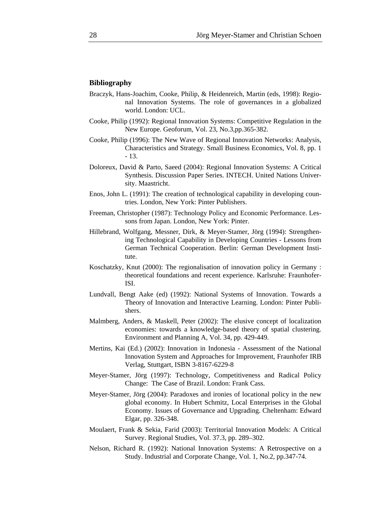#### **Bibliography**

- Braczyk, Hans-Joachim, Cooke, Philip, & Heidenreich, Martin (eds, 1998): Regional Innovation Systems. The role of governances in a globalized world. London: UCL.
- Cooke, Philip (1992): Regional Innovation Systems: Competitive Regulation in the New Europe. Geoforum, Vol. 23, No.3,pp.365-382.
- Cooke, Philip (1996): The New Wave of Regional Innovation Networks: Analysis, Characteristics and Strategy. Small Business Economics, Vol. 8, pp. 1 - 13.
- Doloreux, David & Parto, Saeed (2004): Regional Innovation Systems: A Critical Synthesis. Discussion Paper Series. INTECH. United Nations University. Maastricht.
- Enos, John L. (1991): The creation of technological capability in developing countries. London, New York: Pinter Publishers.
- Freeman, Christopher (1987): Technology Policy and Economic Performance. Lessons from Japan. London, New York: Pinter.
- Hillebrand, Wolfgang, Messner, Dirk, & Meyer-Stamer, Jörg (1994): Strengthening Technological Capability in Developing Countries - Lessons from German Technical Cooperation. Berlin: German Development Institute.
- Koschatzky, Knut (2000): The regionalisation of innovation policy in Germany : theoretical foundations and recent experience. Karlsruhe: Fraunhofer-ISI.
- Lundvall, Bengt Aake (ed) (1992): National Systems of Innovation. Towards a Theory of Innovation and Interactive Learning. London: Pinter Publishers.
- Malmberg, Anders, & Maskell, Peter (2002): The elusive concept of localization economies: towards a knowledge-based theory of spatial clustering. Environment and Planning A, Vol. 34, pp. 429-449.
- Mertins, Kai (Ed.) (2002): Innovation in Indonesia Assessment of the National Innovation System and Approaches for Improvement, Fraunhofer IRB Verlag, Stuttgart, ISBN 3-8167-6229-8
- Meyer-Stamer, Jörg (1997): Technology, Competitiveness and Radical Policy Change: The Case of Brazil. London: Frank Cass.
- Meyer-Stamer, Jörg (2004): Paradoxes and ironies of locational policy in the new global economy. In Hubert Schmitz, Local Enterprises in the Global Economy. Issues of Governance and Upgrading. Cheltenham: Edward Elgar, pp. 326-348.
- Moulaert, Frank & Sekia, Farid (2003): Territorial Innovation Models: A Critical Survey. Regional Studies, Vol. 37.3, pp. 289–302.
- Nelson, Richard R. (1992): National Innovation Systems: A Retrospective on a Study. Industrial and Corporate Change, Vol. 1, No.2, pp.347-74.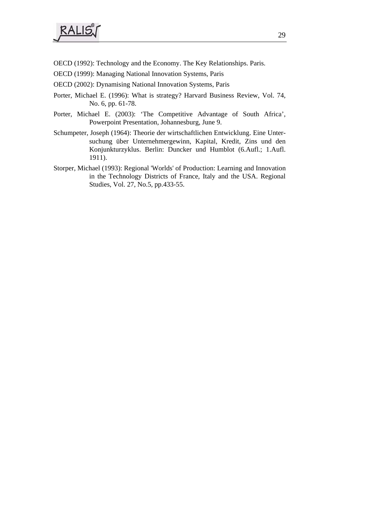- OECD (1992): Technology and the Economy. The Key Relationships. Paris.
- OECD (1999): Managing National Innovation Systems, Paris
- OECD (2002): Dynamising National Innovation Systems, Paris
- Porter, Michael E. (1996): What is strategy? Harvard Business Review, Vol. 74, No. 6, pp. 61-78.
- Porter, Michael E. (2003): 'The Competitive Advantage of South Africa', Powerpoint Presentation, Johannesburg, June 9.
- Schumpeter, Joseph (1964): Theorie der wirtschaftlichen Entwicklung. Eine Untersuchung über Unternehmergewinn, Kapital, Kredit, Zins und den Konjunkturzyklus. Berlin: Duncker und Humblot (6.Aufl.; 1.Aufl. 1911).
- Storper, Michael (1993): Regional 'Worlds' of Production: Learning and Innovation in the Technology Districts of France, Italy and the USA. Regional Studies, Vol. 27, No.5, pp.433-55.